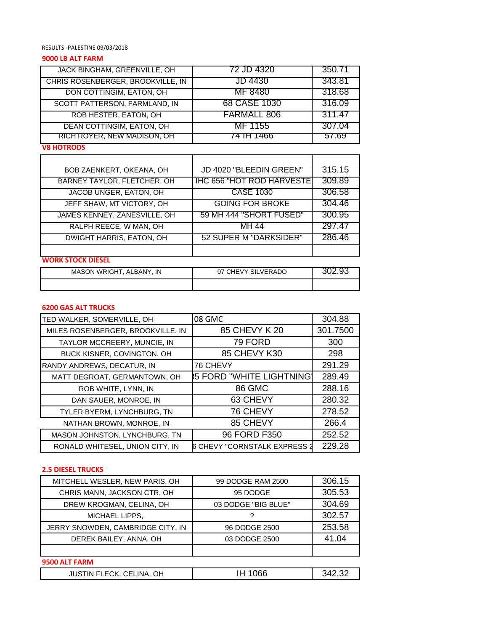RESULTS -PALESTINE 09/03/2018

## **9000 LB ALT FARM**

| JACK BINGHAM, GREENVILLE, OH      | 72 JD 4320   | 350.71        |
|-----------------------------------|--------------|---------------|
| CHRIS ROSENBERGER, BROOKVILLE, IN | JD 4430      | 343.81        |
| DON COTTINGIM, EATON, OH          | MF 8480      | 318.68        |
| SCOTT PATTERSON, FARMLAND, IN     | 68 CASE 1030 | 316.09        |
| ROB HESTER, EATON, OH             | FARMALL 806  | 311.47        |
| DEAN COTTINGIM, EATON, OH         | MF 1155      | 307.04        |
| RICH ROYER, NEW MADISON, OH       | 74 TH 1466   | <u> 21.09</u> |
| <b>V8 HOTRODS</b>                 |              |               |

| <b>BOB ZAENKERT, OKEANA, OH</b>    | JD 4020 "BLEEDIN GREEN"          | 315.15 |
|------------------------------------|----------------------------------|--------|
| <b>BARNEY TAYLOR, FLETCHER, OH</b> | <b>IHC 656 "HOT ROD HARVESTE</b> | 309.89 |
| JACOB UNGER, EATON, OH             | <b>CASE 1030</b>                 | 306.58 |
| JEFF SHAW, MT VICTORY, OH          | <b>GOING FOR BROKE</b>           | 304.46 |
| JAMES KENNEY, ZANESVILLE, OH       | 59 MH 444 "SHORT FUSED"          | 300.95 |
| RALPH REECE, W MAN, OH             | $\overline{M}$ H 44              | 297.47 |
| <b>DWIGHT HARRIS, EATON, OH</b>    | 52 SUPER M "DARKSIDER"           | 286.46 |
|                                    |                                  |        |

#### **WORK STOCK DIESEL**

| MASON WRIGHT, ALBANY, IN | 07 CHEVY SILVERADO | ч<br>ﻰ ﻥﺕ. <i>∟</i> |
|--------------------------|--------------------|---------------------|
|                          |                    |                     |

## **6200 GAS ALT TRUCKS**

| TED WALKER, SOMERVILLE, OH        | 08 GMC                          | 304.88   |
|-----------------------------------|---------------------------------|----------|
| MILES ROSENBERGER, BROOKVILLE, IN | 85 CHEVY K 20                   | 301.7500 |
| TAYLOR MCCREERY, MUNCIE, IN       | 79 FORD                         | 300      |
| BUCK KISNER, COVINGTON, OH        | 85 CHEVY K30                    | 298      |
| RANDY ANDREWS, DECATUR, IN        | 76 CHEVY                        | 291.29   |
| MATT DEGROAT, GERMANTOWN, OH      | <b>55 FORD "WHITE LIGHTNING</b> | 289.49   |
| ROB WHITE, LYNN, IN               | 86 GMC                          | 288.16   |
| DAN SAUER, MONROE, IN             | 63 CHEVY                        | 280.32   |
| TYLER BYERM, LYNCHBURG, TN        | 76 CHEVY                        | 278.52   |
| NATHAN BROWN, MONROE, IN          | 85 CHEVY                        | 266.4    |
| MASON JOHNSTON, LYNCHBURG, TN     | 96 FORD F350                    | 252.52   |
| RONALD WHITESEL, UNION CITY, IN   | 6 CHEVY "CORNSTALK EXPRESS 2    | 229.28   |

#### **2.5 DIESEL TRUCKS**

| MITCHELL WESLER, NEW PARIS, OH    | 99 DODGE RAM 2500   | 306.15 |
|-----------------------------------|---------------------|--------|
| CHRIS MANN, JACKSON CTR, OH       | 95 DODGE            | 305.53 |
| DREW KROGMAN, CELINA, OH          | 03 DODGE "BIG BLUE" | 304.69 |
| MICHAEL LIPPS,                    |                     | 302.57 |
| JERRY SNOWDEN, CAMBRIDGE CITY, IN | 96 DODGE 2500       | 253.58 |
| DEREK BAILEY, ANNA, OH            | 03 DODGE 2500       | 41.04  |
|                                   |                     |        |
| 9500 ALT FARM                     |                     |        |

| 342.32  |
|---------|
| IH 1066 |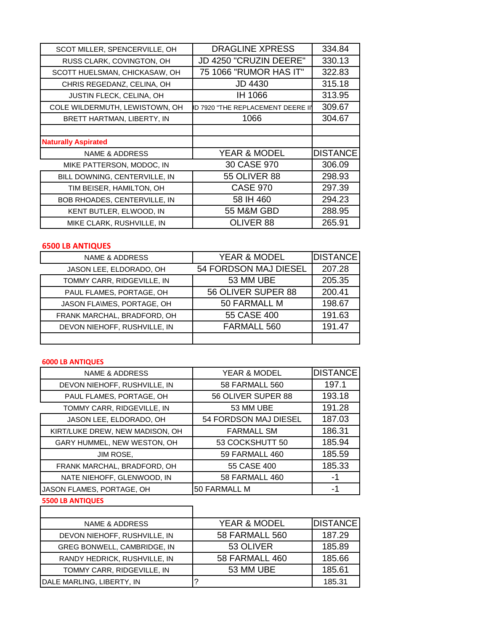| SCOT MILLER, SPENCERVILLE, OH  | <b>DRAGLINE XPRESS</b>             | 334.84          |
|--------------------------------|------------------------------------|-----------------|
| RUSS CLARK, COVINGTON, OH      | JD 4250 "CRUZIN DEERE"             | 330.13          |
| SCOTT HUELSMAN, CHICKASAW, OH  | 75 1066 "RUMOR HAS IT"             | 322.83          |
| CHRIS REGEDANZ, CELINA, OH     | <b>JD 4430</b>                     | 315.18          |
| JUSTIN FLECK, CELINA, OH       | IH 1066                            | 313.95          |
| COLE WILDERMUTH, LEWISTOWN, OH | ID 7920 "THE REPLACEMENT DEERE II' | 309.67          |
| BRETT HARTMAN, LIBERTY, IN     | 1066                               | 304.67          |
|                                |                                    |                 |
|                                |                                    |                 |
| <b>Naturally Aspirated</b>     |                                    |                 |
| <b>NAME &amp; ADDRESS</b>      | <b>YEAR &amp; MODEL</b>            | <b>DISTANCE</b> |
| MIKE PATTERSON, MODOC, IN      | 30 CASE 970                        | 306.09          |
| BILL DOWNING, CENTERVILLE, IN  | <b>55 OLIVER 88</b>                | 298.93          |
| TIM BEISER, HAMILTON, OH       | <b>CASE 970</b>                    | 297.39          |
| BOB RHOADES, CENTERVILLE, IN   | 58 IH 460                          | 294.23          |
| KENT BUTLER, ELWOOD, IN        | <b>55 M&amp;M GBD</b>              | 288.95          |

# **6500 LB ANTIQUES**

| <b>NAME &amp; ADDRESS</b>    | <b>YEAR &amp; MODEL</b> | <b>DISTANCE</b> |
|------------------------------|-------------------------|-----------------|
| JASON LEE, ELDORADO, OH      | 54 FORDSON MAJ DIESEL   | 207.28          |
| TOMMY CARR, RIDGEVILLE, IN   | 53 MM UBE               | 205.35          |
| PAUL FLAMES, PORTAGE, OH     | 56 OLIVER SUPER 88      | 200.41          |
| JASON FLA\MES, PORTAGE, OH   | 50 FARMALL M            | 198.67          |
| FRANK MARCHAL, BRADFORD, OH  | 55 CASE 400             | 191.63          |
| DEVON NIEHOFF, RUSHVILLE, IN | FARMALL 560             | 191.47          |
|                              |                         |                 |

# **6000 LB ANTIQUES**

| <b>NAME &amp; ADDRESS</b>       | <b>YEAR &amp; MODEL</b> | <b>DISTANCE</b> |
|---------------------------------|-------------------------|-----------------|
| DEVON NIEHOFF, RUSHVILLE, IN    | 58 FARMALL 560          | 197.1           |
| PAUL FLAMES, PORTAGE, OH        | 56 OLIVER SUPER 88      | 193.18          |
| TOMMY CARR, RIDGEVILLE, IN      | 53 MM UBE               | 191.28          |
| JASON LEE, ELDORADO, OH         | 54 FORDSON MAJ DIESEL   | 187.03          |
| KIRT/LUKE DREW, NEW MADISON, OH | <b>FARMALL SM</b>       | 186.31          |
| GARY HUMMEL, NEW WESTON, OH     | 53 COCKSHUTT 50         | 185.94          |
| JIM ROSE,                       | 59 FARMALL 460          | 185.59          |
| FRANK MARCHAL, BRADFORD, OH     | 55 CASE 400             | 185.33          |
| NATE NIEHOFF, GLENWOOD, IN      | 58 FARMALL 460          | -1              |
| JASON FLAMES, PORTAGE, OH       | 50 FARMALL M            | -1              |

# **5500 LB ANTIQUES**

| NAME & ADDRESS               | YEAR & MODEL          | <b>DISTANCE</b> |
|------------------------------|-----------------------|-----------------|
| DEVON NIEHOFF, RUSHVILLE, IN | <b>58 FARMALL 560</b> | 187.29          |
| GREG BONWELL, CAMBRIDGE, IN  | 53 OLIVER             | 185.89          |
| RANDY HEDRICK, RUSHVILLE, IN | 58 FARMALL 460        | 185.66          |
| TOMMY CARR, RIDGEVILLE, IN   | 53 MM UBE             | 185.61          |
| DALE MARLING, LIBERTY, IN    |                       | 185.31          |

T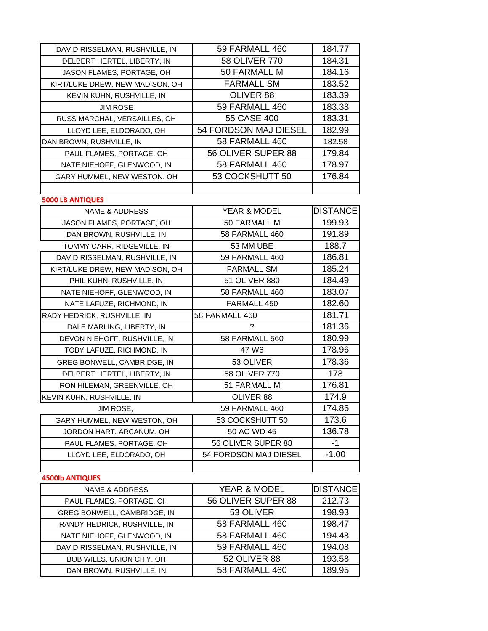| DAVID RISSELMAN, RUSHVILLE, IN  | 59 FARMALL 460          | 184.77          |
|---------------------------------|-------------------------|-----------------|
| DELBERT HERTEL, LIBERTY, IN     | 58 OLIVER 770           | 184.31          |
| JASON FLAMES, PORTAGE, OH       | 50 FARMALL M            | 184.16          |
| KIRT/LUKE DREW, NEW MADISON, OH | <b>FARMALL SM</b>       | 183.52          |
| KEVIN KUHN, RUSHVILLE, IN       | OLIVER 88               | 183.39          |
| <b>JIM ROSE</b>                 | 59 FARMALL 460          | 183.38          |
| RUSS MARCHAL, VERSAILLES, OH    | 55 CASE 400             | 183.31          |
| LLOYD LEE, ELDORADO, OH         | 54 FORDSON MAJ DIESEL   | 182.99          |
| DAN BROWN, RUSHVILLE, IN        | 58 FARMALL 460          | 182.58          |
| PAUL FLAMES, PORTAGE, OH        | 56 OLIVER SUPER 88      | 179.84          |
| NATE NIEHOFF, GLENWOOD, IN      | 58 FARMALL 460          | 178.97          |
| GARY HUMMEL, NEW WESTON, OH     | 53 COCKSHUTT 50         | 176.84          |
|                                 |                         |                 |
| <b>5000 LB ANTIQUES</b>         |                         |                 |
| <b>NAME &amp; ADDRESS</b>       | YEAR & MODEL            | <b>DISTANCE</b> |
| JASON FLAMES, PORTAGE, OH       | 50 FARMALL M            | 199.93          |
| DAN BROWN, RUSHVILLE, IN        | <b>58 FARMALL 460</b>   | 191.89          |
| TOMMY CARR, RIDGEVILLE, IN      | 53 MM UBE               | 188.7           |
| DAVID RISSELMAN, RUSHVILLE, IN  | 59 FARMALL 460          | 186.81          |
| KIRT/LUKE DREW, NEW MADISON, OH | <b>FARMALL SM</b>       | 185.24          |
| PHIL KUHN, RUSHVILLE, IN        | 51 OLIVER 880           | 184.49          |
| NATE NIEHOFF, GLENWOOD, IN      | 58 FARMALL 460          | 183.07          |
| NATE LAFUZE, RICHMOND, IN       | FARMALL 450             | 182.60          |
| RADY HEDRICK, RUSHVILLE, IN     | 58 FARMALL 460          | 181.71          |
|                                 |                         |                 |
| DALE MARLING, LIBERTY, IN       | 2                       | 181.36          |
| DEVON NIEHOFF, RUSHVILLE, IN    | 58 FARMALL 560          | 180.99          |
| TOBY LAFUZE, RICHMOND, IN       | 47 W6                   | 178.96          |
| GREG BONWELL, CAMBRIDGE, IN     | 53 OLIVER               | 178.36          |
| DELBERT HERTEL, LIBERTY, IN     | 58 OLIVER 770           | 178             |
| RON HILEMAN, GREENVILLE, OH     | 51 FARMALL M            | 176.81          |
| KEVIN KUHN, RUSHVILLE, IN       | OLIVER 88               | 174.9           |
| JIM ROSE,                       | 59 FARMALL 460          | 174.86          |
| GARY HUMMEL, NEW WESTON, OH     | 53 COCKSHUTT 50         | 173.6           |
| JORDON HART, ARCANUM, OH        | 50 AC WD 45             | 136.78          |
| PAUL FLAMES, PORTAGE, OH        | 56 OLIVER SUPER 88      | $-1$            |
| LLOYD LEE, ELDORADO, OH         | 54 FORDSON MAJ DIESEL   | $-1.00$         |
|                                 |                         |                 |
| <b>4500lb ANTIQUES</b>          |                         |                 |
| <b>NAME &amp; ADDRESS</b>       | <b>YEAR &amp; MODEL</b> | <b>DISTANCE</b> |
| PAUL FLAMES, PORTAGE, OH        | 56 OLIVER SUPER 88      | 212.73          |
| GREG BONWELL, CAMBRIDGE, IN     | 53 OLIVER               | 198.93          |
| RANDY HEDRICK, RUSHVILLE, IN    | 58 FARMALL 460          | 198.47          |
| NATE NIEHOFF, GLENWOOD, IN      | 58 FARMALL 460          | 194.48          |
| DAVID RISSELMAN, RUSHVILLE, IN  | 59 FARMALL 460          | 194.08          |
| BOB WILLS, UNION CITY, OH       | 52 OLIVER 88            | 193.58          |